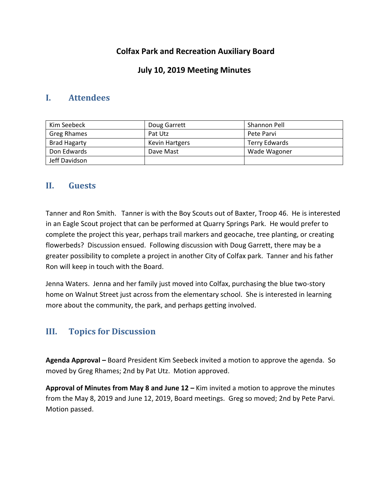## **Colfax Park and Recreation Auxiliary Board**

## **July 10, 2019 Meeting Minutes**

## **I. Attendees**

| Kim Seebeck         | Doug Garrett          | Shannon Pell         |
|---------------------|-----------------------|----------------------|
| Greg Rhames         | Pat Utz               | Pete Parvi           |
| <b>Brad Hagarty</b> | <b>Kevin Hartgers</b> | <b>Terry Edwards</b> |
| Don Edwards         | Dave Mast             | Wade Wagoner         |
| Jeff Davidson       |                       |                      |

### **II. Guests**

Tanner and Ron Smith. Tanner is with the Boy Scouts out of Baxter, Troop 46. He is interested in an Eagle Scout project that can be performed at Quarry Springs Park. He would prefer to complete the project this year, perhaps trail markers and geocache, tree planting, or creating flowerbeds? Discussion ensued. Following discussion with Doug Garrett, there may be a greater possibility to complete a project in another City of Colfax park. Tanner and his father Ron will keep in touch with the Board.

Jenna Waters. Jenna and her family just moved into Colfax, purchasing the blue two-story home on Walnut Street just across from the elementary school. She is interested in learning more about the community, the park, and perhaps getting involved.

# **III. Topics for Discussion**

**Agenda Approval –** Board President Kim Seebeck invited a motion to approve the agenda. So moved by Greg Rhames; 2nd by Pat Utz. Motion approved.

**Approval of Minutes from May 8 and June 12 –** Kim invited a motion to approve the minutes from the May 8, 2019 and June 12, 2019, Board meetings. Greg so moved; 2nd by Pete Parvi. Motion passed.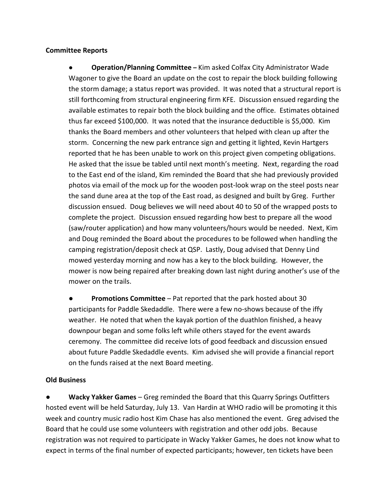#### **Committee Reports**

● **Operation/Planning Committee –** Kim asked Colfax City Administrator Wade Wagoner to give the Board an update on the cost to repair the block building following the storm damage; a status report was provided. It was noted that a structural report is still forthcoming from structural engineering firm KFE. Discussion ensued regarding the available estimates to repair both the block building and the office. Estimates obtained thus far exceed \$100,000. It was noted that the insurance deductible is \$5,000. Kim thanks the Board members and other volunteers that helped with clean up after the storm. Concerning the new park entrance sign and getting it lighted, Kevin Hartgers reported that he has been unable to work on this project given competing obligations. He asked that the issue be tabled until next month's meeting. Next, regarding the road to the East end of the island, Kim reminded the Board that she had previously provided photos via email of the mock up for the wooden post-look wrap on the steel posts near the sand dune area at the top of the East road, as designed and built by Greg. Further discussion ensued. Doug believes we will need about 40 to 50 of the wrapped posts to complete the project. Discussion ensued regarding how best to prepare all the wood (saw/router application) and how many volunteers/hours would be needed. Next, Kim and Doug reminded the Board about the procedures to be followed when handling the camping registration/deposit check at QSP. Lastly, Doug advised that Denny Lind mowed yesterday morning and now has a key to the block building. However, the mower is now being repaired after breaking down last night during another's use of the mower on the trails.

● **Promotions Committee** – Pat reported that the park hosted about 30 participants for Paddle Skedaddle. There were a few no-shows because of the iffy weather. He noted that when the kayak portion of the duathlon finished, a heavy downpour began and some folks left while others stayed for the event awards ceremony. The committee did receive lots of good feedback and discussion ensued about future Paddle Skedaddle events. Kim advised she will provide a financial report on the funds raised at the next Board meeting.

#### **Old Business**

**Wacky Yakker Games** – Greg reminded the Board that this Quarry Springs Outfitters hosted event will be held Saturday, July 13. Van Hardin at WHO radio will be promoting it this week and country music radio host Kim Chase has also mentioned the event. Greg advised the Board that he could use some volunteers with registration and other odd jobs. Because registration was not required to participate in Wacky Yakker Games, he does not know what to expect in terms of the final number of expected participants; however, ten tickets have been